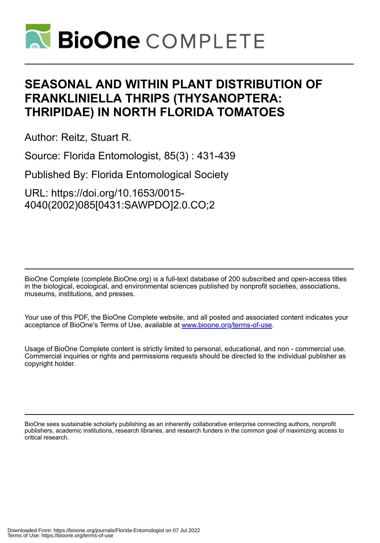

# **SEASONAL AND WITHIN PLANT DISTRIBUTION OF FRANKLINIELLA THRIPS (THYSANOPTERA: THRIPIDAE) IN NORTH FLORIDA TOMATOES**

Author: Reitz, Stuart R.

Source: Florida Entomologist, 85(3) : 431-439

Published By: Florida Entomological Society

URL: https://doi.org/10.1653/0015- 4040(2002)085[0431:SAWPDO]2.0.CO;2

BioOne Complete (complete.BioOne.org) is a full-text database of 200 subscribed and open-access titles in the biological, ecological, and environmental sciences published by nonprofit societies, associations, museums, institutions, and presses.

Your use of this PDF, the BioOne Complete website, and all posted and associated content indicates your acceptance of BioOne's Terms of Use, available at www.bioone.org/terms-of-use.

Usage of BioOne Complete content is strictly limited to personal, educational, and non - commercial use. Commercial inquiries or rights and permissions requests should be directed to the individual publisher as copyright holder.

BioOne sees sustainable scholarly publishing as an inherently collaborative enterprise connecting authors, nonprofit publishers, academic institutions, research libraries, and research funders in the common goal of maximizing access to critical research.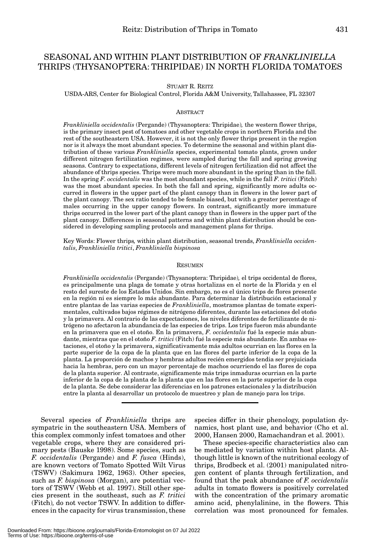# SEASONAL AND WITHIN PLANT DISTRIBUTION OF *FRANKLINIELLA*  THRIPS (THYSANOPTERA: THRIPIDAE) IN NORTH FLORIDA TOMATOES

STUART R. REITZ

USDA-ARS, Center for Biological Control, Florida A&M University, Tallahassee, FL 32307

## ABSTRACT

*Frankliniella occidentalis* (Pergande) (Thysanoptera: Thripidae)*,* the western flower thrips, is the primary insect pest of tomatoes and other vegetable crops in northern Florida and the rest of the southeastern USA. However, it is not the only flower thrips present in the region nor is it always the most abundant species. To determine the seasonal and within plant distribution of these various *Frankliniella* species, experimental tomato plants, grown under different nitrogen fertilization regimes, were sampled during the fall and spring growing seasons. Contrary to expectations, different levels of nitrogen fertilization did not affect the abundance of thrips species. Thrips were much more abundant in the spring than in the fall. In the spring *F. occidentalis* was the most abundant species, while in the fall *F. tritici* (Fitch) was the most abundant species. In both the fall and spring, significantly more adults occurred in flowers in the upper part of the plant canopy than in flowers in the lower part of the plant canopy. The sex ratio tended to be female biased, but with a greater percentage of males occurring in the upper canopy flowers. In contrast, significantly more immature thrips occurred in the lower part of the plant canopy than in flowers in the upper part of the plant canopy. Differences in seasonal patterns and within plant distribution should be considered in developing sampling protocols and management plans for thrips.

Key Words: Flower thrips*,* within plant distribution, seasonal trends, *Frankliniella occidentalis*, *Frankliniella tritici*, *Frankliniella bispinosa*

## **RESUMEN**

*Frankliniella occidentalis* (Pergande) (Thysanoptera: Thripidae)*,* el trips occidental de flores, es principalmente una plaga de tomate y otras hortalizas en el norte de la Florida y en el resto del sureste de los Estados Unidos. Sin embargo, no es el único trips de flores presente en la región ni es siempre lo más abundante. Para determinar la distribución estacional y entre plantas de las varias especies de *Frankliniella*, mostramos plantas de tomate experimentales, cultivados bajos régimes de nitrógeno diferentes, durante las estaciones del otoño y la primavera. Al contrario de las expectaciones, los niveles diferentes de fertilizante de nitrógeno no afectaron la abundancia de las especies de trips. Los trips fueron más abundante en la primavera que en el otoño. En la primavera, *F. occidentalis* fué la especie más abundante, mientras que en el otoño *F. tritici* (Fitch) fué la especie más abundante. En ambas estaciones, el otoño y la primavera, significativamente más adultos ocurrian en las flores en la parte superior de la copa de la planta que en las flores del parte inferior de la copa de la planta. La proporción de machos y hembras adultos recién emergidos tendia ser prejuiciada hacia la hembras, pero con un mayor percentaje de machos ocurriendo el las flores de copa de la planta superior. Al contraste, significamente más trips inmaduras ocurrian en la parte inferior de la copa de la planta de la planta que en las flores en la parte superior de la copa de la planta. Se debe considerar las diferencias en los patrones estacionales y la distribución entre la planta al desarrollar un protocolo de muestreo y plan de manejo para los trips.

Several species of *Frankliniella* thrips are sympatric in the southeastern USA. Members of this complex commonly infest tomatoes and other vegetable crops, where they are considered primary pests (Bauske 1998). Some species, such as *F. occidentalis* (Pergande) and *F. fusca* (Hinds), are known vectors of Tomato Spotted Wilt Virus (TSWV) (Sakimura 1962, 1963). Other species, such as *F. bispinosa* (Morgan), are potential vectors of TSWV (Webb et al. 1997). Still other species present in the southeast, such as *F. tritici* (Fitch)*,* do not vector TSWV. In addition to differences in the capacity for virus transmission, these

species differ in their phenology, population dynamics, host plant use, and behavior (Cho et al. 2000, Hansen 2000, Ramachandran et al. 2001).

These species-specific characteristics also can be mediated by variation within host plants. Although little is known of the nutritional ecology of thrips, Brodbeck et al. (2001) manipulated nitrogen content of plants through fertilization, and found that the peak abundance of *F. occidentalis* adults in tomato flowers is positively correlated with the concentration of the primary aromatic amino acid, phenylalinine, in the flowers. This correlation was most pronounced for females.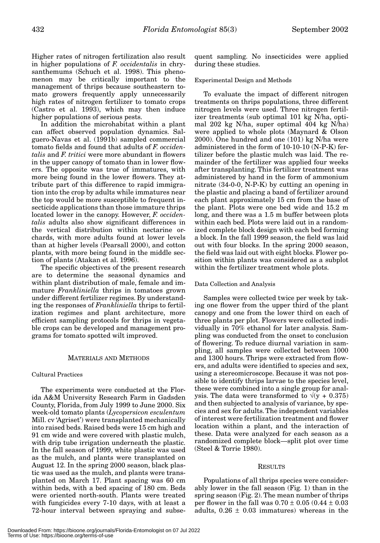Higher rates of nitrogen fertilization also result in higher populations of *F. occidentalis* in chrysanthemums (Schuch et al. 1998). This phenomenon may be critically important to the management of thrips because southeastern tomato growers frequently apply unnecessarily high rates of nitrogen fertilizer to tomato crops (Castro et al. 1993), which may then induce higher populations of serious pests.

In addition the microhabitat within a plant can affect observed population dynamics. Salguero-Navas et al. (1991b) sampled commercial tomato fields and found that adults of *F. occidentalis* and *F. tritici* were more abundant in flowers in the upper canopy of tomato than in lower flowers. The opposite was true of immatures, with more being found in the lower flowers. They attribute part of this difference to rapid immigration into the crop by adults while immatures near the top would be more susceptible to frequent insecticide applications than those immature thrips located lower in the canopy. However, *F. occidentalis* adults also show significant differences in the vertical distribution within nectarine orchards, with more adults found at lower levels than at higher levels (Pearsall 2000), and cotton plants, with more being found in the middle section of plants (Atakan et al. 1996).

The specific objectives of the present research are to determine the seasonal dynamics and within plant distribution of male, female and immature *Frankliniella* thrips in tomatoes grown under different fertilizer regimes. By understanding the responses of *Frankliniella* thrips to fertilization regimes and plant architecture, more efficient sampling protocols for thrips in vegetable crops can be developed and management programs for tomato spotted wilt improved.

# MATERIALS AND METHODS

# Cultural Practices

The experiments were conducted at the Florida A&M University Research Farm in Gadsden County, Florida, from July 1999 to June 2000. Six week-old tomato plants (*Lycopersicon esculentum* Mill. cv 'Agriset') were transplanted mechanically into raised beds. Raised beds were 15 cm high and 91 cm wide and were covered with plastic mulch, with drip tube irrigation underneath the plastic. In the fall season of 1999, white plastic was used as the mulch, and plants were transplanted on August 12. In the spring 2000 season, black plastic was used as the mulch, and plants were transplanted on March 17. Plant spacing was 60 cm within beds, with a bed spacing of 180 cm. Beds were oriented north-south. Plants were treated with fungicides every 7-10 days, with at least a 72-hour interval between spraying and subsequent sampling. No insecticides were applied during these studies.

Experimental Design and Methods

To evaluate the impact of different nitrogen treatments on thrips populations, three different nitrogen levels were used. Three nitrogen fertilizer treatments (sub optimal 101 kg N/ha, optimal 202 kg N/ha, super optimal 404 kg N/ha) were applied to whole plots (Maynard & Olson 2000). One hundred and one (101) kg N/ha were administered in the form of 10-10-10 (N-P-K) fertilizer before the plastic mulch was laid. The remainder of the fertilizer was applied four weeks after transplanting. This fertilizer treatment was administered by hand in the form of ammonium nitrate (34-0-0, N-P-K) by cutting an opening in the plastic and placing a band of fertilizer around each plant approximately 15 cm from the base of the plant. Plots were one bed wide and 15.2 m long, and there was a 1.5 m buffer between plots within each bed. Plots were laid out in a randomized complete block design with each bed forming a block. In the fall 1999 season, the field was laid out with four blocks. In the spring 2000 season, the field was laid out with eight blocks. Flower position within plants was considered as a subplot within the fertilizer treatment whole plots.

## Data Collection and Analysis

Samples were collected twice per week by taking one flower from the upper third of the plant canopy and one from the lower third on each of three plants per plot. Flowers were collected individually in 70% ethanol for later analysis. Sampling was conducted from the onset to conclusion of flowering. To reduce diurnal variation in sampling, all samples were collected between 1000 and 1300 hours. Thrips were extracted from flowers, and adults were identified to species and sex, using a stereomicroscope. Because it was not possible to identify thrips larvae to the species level, these were combined into a single group for analysis. The data were transformed to  $\sqrt{(y + 0.375)}$ and then subjected to analysis of variance, by species and sex for adults. The independent variables of interest were fertilization treatment and flower location within a plant, and the interaction of these. Data were analyzed for each season as a randomized complete block—split plot over time (Steel & Torrie 1980).

#### **RESULTS**

Populations of all thrips species were considerably lower in the fall season (Fig. 1) than in the spring season (Fig. 2). The mean number of thrips per flower in the fall was  $0.70 \pm 0.05$  (0.44  $\pm$  0.03 adults,  $0.26 \pm 0.03$  immatures) whereas in the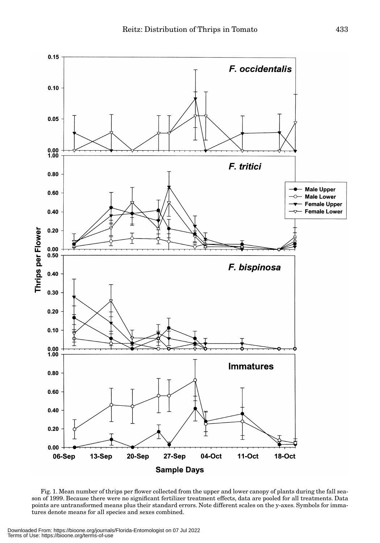

Fig. 1. Mean number of thrips per flower collected from the upper and lower canopy of plants during the fall season of 1999. Because there were no significant fertilizer treatment effects, data are pooled for all treatments. Data points are untransformed means plus their standard errors. Note different scales on the y-axes. Symbols for immatures denote means for all species and sexes combined.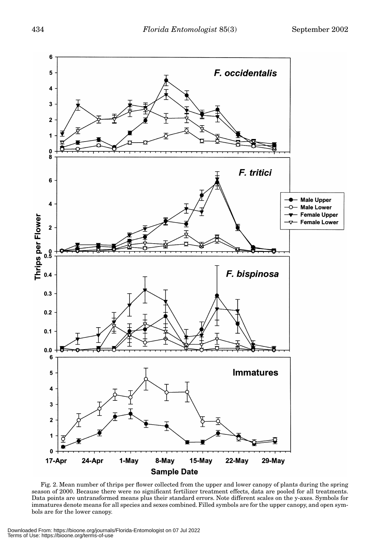

Fig. 2. Mean number of thrips per flower collected from the upper and lower canopy of plants during the spring season of 2000. Because there were no significant fertilizer treatment effects, data are pooled for all treatments. Data points are untransformed means plus their standard errors. Note different scales on the y-axes. Symbols for immatures denote means for all species and sexes combined. Filled symbols are for the upper canopy, and open symbols are for the lower canopy.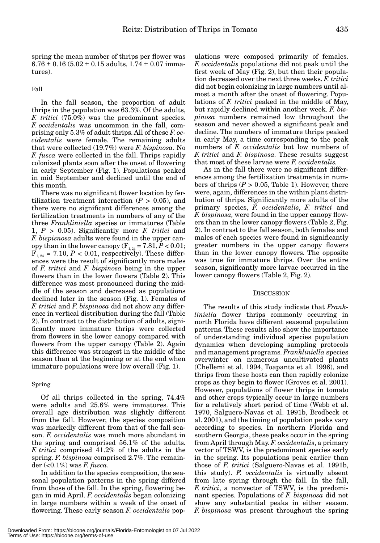spring the mean number of thrips per flower was  $6.76 \pm 0.16$  (5.02  $\pm$  0.15 adults, 1.74  $\pm$  0.07 immatures).

Fall

In the fall season, the proportion of adult thrips in the population was 63.3%. Of the adults, *F. tritici* (75.0%) was the predominant species. *F. occidentalis* was uncommon in the fall, comprising only 5.3% of adult thrips. All of these *F. occidentalis* were female. The remaining adults that were collected (19.7%) were *F. bispinosa*. No *F. fusca* were collected in the fall. Thrips rapidly colonized plants soon after the onset of flowering in early September (Fig. 1). Populations peaked in mid September and declined until the end of this month.

There was no significant flower location by fertilization treatment interaction  $(P > 0.05)$ , and there were no significant differences among the fertilization treatments in numbers of any of the three *Frankliniella* species or immatures (Table 1, *P* > 0.05). Significantly more *F. tritici* and *F. bispisnosa* adults were found in the upper canopy than in the lower canopy  $(F_{1, 24} = 7.81, P < 0.01;$  $F_{1, 24} = 7.10, P < 0.01$ , respectively). These differences were the result of significantly more males of *F. tritici* and *F. bispinosa* being in the upper flowers than in the lower flowers (Table 2). This difference was most pronounced during the middle of the season and decreased as populations declined later in the season (Fig. 1). Females of *F. tritici* and *F. bispinosa* did not show any difference in vertical distribution during the fall (Table 2). In contrast to the distribution of adults, significantly more immature thrips were collected from flowers in the lower canopy compared with flowers from the upper canopy (Table 2). Again this difference was strongest in the middle of the season than at the beginning or at the end when immature populations were low overall (Fig. 1).

### Spring

Of all thrips collected in the spring, 74.4% were adults and 25.6% were immatures. This overall age distribution was slightly different from the fall. However, the species composition was markedly different from that of the fall season. *F. occidentalis* was much more abundant in the spring and comprised 56.1% of the adults. *F. tritici* comprised 41.2% of the adults in the spring. *F. bispinosa* comprised 2.7%. The remainder (<0.1%) was *F. fusca*.

In addition to the species composition, the seasonal population patterns in the spring differed from those of the fall. In the spring, flowering began in mid April. *F. occidentalis* began colonizing in large numbers within a week of the onset of flowering. These early season *F. occidentalis* pop-

ulations were composed primarily of females. *F. occidentalis* populations did not peak until the first week of May (Fig. 2), but then their population decreased over the next three weeks. *F. tritici* did not begin colonizing in large numbers until almost a month after the onset of flowering. Populations of *F. tritici* peaked in the middle of May, but rapidly declined within another week. *F. bispinosa* numbers remained low throughout the season and never showed a significant peak and decline. The numbers of immature thrips peaked in early May, a time corresponding to the peak numbers of *F. occidentalis* but low numbers of *F. tritici* and *F. bispinosa.* These results suggest that most of these larvae were *F. occidentalis.*

As in the fall there were no significant differences among the fertilization treatments in numbers of thrips  $(P > 0.05,$  Table 1). However, there were, again, differences in the within plant distribution of thrips. Significantly more adults of the primary species, *F. occidentalis*, *F. tritici* and *F. bispinosa,* were found in the upper canopy flowers than in the lower canopy flowers (Table 2, Fig. 2). In contrast to the fall season, both females and males of each species were found in significantly greater numbers in the upper canopy flowers than in the lower canopy flowers. The opposite was true for immature thrips. Over the entire season, significantly more larvae occurred in the lower canopy flowers (Table 2, Fig. 2).

#### **DISCUSSION**

The results of this study indicate that *Frankliniella* flower thrips commonly occurring in north Florida have different seasonal population patterns. These results also show the importance of understanding individual species population dynamics when developing sampling protocols and management programs. *Frankliniella* species overwinter on numerous uncultivated plants (Chellemi et al. 1994, Toapanta et al. 1996), and thrips from these hosts can then rapidly colonize crops as they begin to flower (Groves et al. 2001). However, populations of flower thrips in tomato and other crops typically occur in large numbers for a relatively short period of time (Webb et al. 1970, Salguero-Navas et al. 1991b, Brodbeck et al. 2001), and the timing of population peaks vary according to species. In northern Florida and southern Georgia, these peaks occur in the spring from April through May. *F. occidentalis*, a primary vector of TSWV, is the predominant species early in the spring. Its populations peak earlier than those of *F. tritici* (Salguero-Navas et al. 1991b, this study). *F. occidentalis* is virtually absent from late spring through the fall. In the fall, *F. tritici*, a nonvector of TSWV, is the predominant species. Populations of *F. bispinosa* did not show any substantial peaks in either season. *F. bispinosa* was present throughout the spring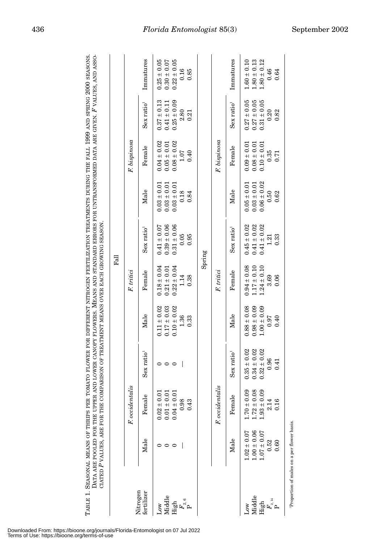|                                                                                            |                                    |                                    |                                    |                                    | $F_{\rm all}$                      |                                    |                                    |                                    |                                    |                                    |
|--------------------------------------------------------------------------------------------|------------------------------------|------------------------------------|------------------------------------|------------------------------------|------------------------------------|------------------------------------|------------------------------------|------------------------------------|------------------------------------|------------------------------------|
|                                                                                            |                                    | F. occidentalis                    |                                    |                                    | F. tritici                         |                                    |                                    | $F.$ bispinosa                     |                                    |                                    |
| Nitrogen<br>fertilizer                                                                     | Male                               | Female                             | Sex ratio <sup>1</sup>             | Male                               | Female                             | Sex ratio <sup>1</sup>             | Male                               | Female                             | Sex ratio <sup>1</sup>             | Immatures                          |
| Middle<br>Nол                                                                              | っ                                  | $0.02 \pm 0.0$<br>$0.01 \pm 0.0$   | 0                                  | $0.11 \pm 0.02$<br>$0.17 \pm 0.03$ | $0.18 \pm 0.04$<br>$0.21 \pm 0.01$ | $0.39 \pm 0.06$<br>$0.41 \pm 0.07$ | $0.03 \pm 0.01$<br>$0.03 \pm 0.01$ | $0.04 \pm 0.02$<br>$0.05 \pm 0.01$ | $0.37 \pm 0.13$<br>$0.41 \pm 0.11$ | $0.25 \pm 0.05$<br>$0.30 \pm 0.07$ |
|                                                                                            |                                    | $0.04 \pm 0.0$                     | $\circ$                            | $0.10 \pm 0.02$                    | $0.22 \pm 0.04$                    | $0.31 \pm 0.06$                    | $0.03 \pm 0.01$                    | $0.08 \pm 0.02$                    | $0.25 \pm 0.09$                    | $0.22 \pm 0.05$                    |
| $\begin{array}{c} \mathop{\rm High}\limits_{F_{2,\mathfrak{6}}} \\ \mathbf{P} \end{array}$ |                                    | 0.98<br>0.43                       |                                    | 1.36<br>0.33                       | 1.14<br>0.38                       | 0.05<br>0.95                       | 0.18<br>0.84                       | 1.07<br>0.40                       | 2.80<br>0.21                       | 0.16<br>0.85                       |
|                                                                                            |                                    |                                    |                                    |                                    |                                    | Spring                             |                                    |                                    |                                    |                                    |
|                                                                                            |                                    | F. occidentalis                    |                                    |                                    | F. tritici                         |                                    |                                    | F. bispinosa                       |                                    |                                    |
|                                                                                            | Male                               | Female                             | Sex ratio <sup>1</sup>             | Male                               | Female                             | Sex ratio <sup>1</sup>             | Male                               | Female                             | Sex ratio <sup>1</sup>             | Immatures                          |
| Middle<br>Low                                                                              | $1.00 \pm 0.06$<br>$1.02 \pm 0.07$ | $1.70 \pm 0.09$<br>$1.72 \pm 0.08$ | $0.34 \pm 0.02$<br>$0.35 \pm 0.02$ | $0.88 \pm 0.08$<br>$0.98 \pm 0.09$ | $0.94 \pm 0.08$<br>$1.17 \pm 0.10$ | $0.45 \pm 0.02$<br>$0.41 \pm 0.02$ | $0.03 \pm 0.01$<br>$0.05 \pm 0.01$ | $0.08 \pm 0.01$<br>$0.09 \pm 0.01$ | $0.27 \pm 0.05$<br>$0.27 \pm 0.05$ | $1.60 \pm 0.10$<br>$1.80 \pm 0.13$ |
| High                                                                                       | $1.07 \pm 0.07$<br>0.52            | $1.93 \pm 0.09$<br>2.14            | $0.32 \pm 0.02$<br>0.96            | $1.00 \pm 0.09$<br>0.97            | $1.24 \pm 0.10$<br>3.69            | $0.41 \pm 0.02$<br>1.21            | $0.06 \pm 0.02$<br>0.50            | $0.10 \pm 0.01$<br>0.35            | $0.31 \pm 0.05$<br>0.20            | $1.80 \pm 0.12$<br>0.46            |
| $F_{\mbox{\tiny 2,14}}$                                                                    | $_{0.60}$                          | 0.16                               | $\overline{1}$                     | 0.40                               | 0.06                               | 0.33                               | 0.62                               | 5.0                                | 0.82                               | 0.64                               |
|                                                                                            |                                    |                                    |                                    |                                    |                                    |                                    |                                    |                                    |                                    |                                    |

TABLE 1. SEASONAL MEANS OF THRIPS PER TOMATO FLOWER FOR DIFFERENT NITROGEN FERTILIZATION TREATMENTS DURING THE FALL 1999 AND SPRING 2000 SEASONS. TABLE 1. SEASONAL MEANS OF THRIPS PER TOMATO FLOWER FOR DIFFERENT NITROGEN FERTILIZATION TREATMENTS DURING THE FALL 1999 AND SPRING 2000 SEASONS.

Downloaded From: https://bioone.org/journals/Florida-Entomologist on 07 Jul 2022 Terms of Use: https://bioone.org/terms-of-use

# 436 *Florida Entomologist* 85(3) September 2002

1Proportion of males on a per flower basis.

Proportion of males on a per flower basis.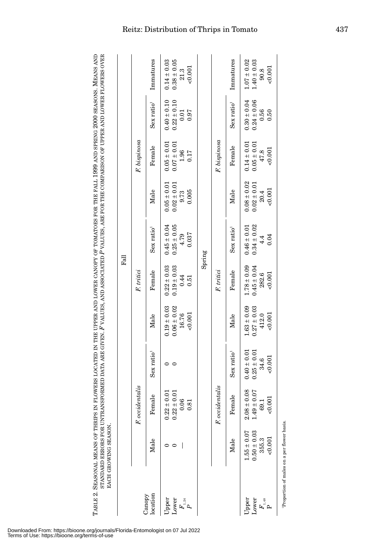|                                                                                               | Through Milly of His History.                          |                                                       |                                                       |                                                      |                                                      |                                                     |                                                     |                                                     |                                                    |                                                     |
|-----------------------------------------------------------------------------------------------|--------------------------------------------------------|-------------------------------------------------------|-------------------------------------------------------|------------------------------------------------------|------------------------------------------------------|-----------------------------------------------------|-----------------------------------------------------|-----------------------------------------------------|----------------------------------------------------|-----------------------------------------------------|
|                                                                                               |                                                        |                                                       |                                                       |                                                      | $F_{all}$                                            |                                                     |                                                     |                                                     |                                                    |                                                     |
|                                                                                               |                                                        | F. occidentalis                                       |                                                       |                                                      | F. tritici                                           |                                                     |                                                     | F. bispinosa                                        |                                                    |                                                     |
| location<br>Canopy                                                                            | Male                                                   | Female                                                | Sex ratio <sup>1</sup>                                | Male                                                 | Female                                               | Sex ratio <sup>1</sup>                              | Male                                                | Female                                              | Sex ratio <sup>1</sup>                             | Immatures                                           |
| Lower<br>Upper<br>$\mathop{F}\limits^{F_{1,24}}$                                              | ∊                                                      | $0.22 \pm 0.01$<br>$0.22\pm0.01$<br>0.06<br>0.81      | $\circ$                                               | $0.19 \pm 0.03$<br>$0.06 \pm 0.02$<br>16.76<br>0.001 | $0.22 \pm 0.03$<br>$0.19 \pm 0.03$<br>0.44<br>0.51   | $0.25 \pm 0.05$<br>$0.45 \pm 0.04$<br>0.037<br>4.79 | $0.05 \pm 0.01$<br>$0.02 \pm 0.01$<br>0.005<br>9.73 | $0.05 \pm 0.01$<br>$0.07 \pm 0.01$<br>1.96<br>0.17  | $0.40 \pm 0.10$<br>$0.22 \pm 0.10$<br>0.01<br>0.97 | $0.14 \pm 0.03$<br>$0.38 \pm 0.05$<br>0.001<br>21.3 |
|                                                                                               |                                                        |                                                       |                                                       |                                                      |                                                      | Spring                                              |                                                     |                                                     |                                                    |                                                     |
|                                                                                               |                                                        | F. occidentalis                                       |                                                       |                                                      | F. tritici                                           |                                                     |                                                     | F. bispinosa                                        |                                                    |                                                     |
|                                                                                               | Male                                                   | Female                                                | Sex ratio <sup>1</sup>                                | Male                                                 | Female                                               | Sex ratio <sup>1</sup>                              | Male                                                | Female                                              | Sex ratio <sup>1</sup>                             | Immatures                                           |
| Lower<br>Upper<br>$\overset{\_}{F}{}_{\!\scriptscriptstyle{1,\,48}}^{\!\scriptscriptstyle +}$ | $0.50 \pm 0.03$<br>$1.55 \pm 0.07$<br>355.3<br>< 0.001 | $2.08 \pm 0.08$<br>$1.49 \pm 0.07$<br>< 0.001<br>69.1 | $0.40 \pm 0.01$<br>$0.25 \pm 0.01$<br>< 0.001<br>34.6 | $1.63 \pm 0.09$<br>$0.27 \pm 0.03$<br>0.001<br>412.0 | $1.78 \pm 0.09$<br>$0.45 \pm 0.04$<br>282.6<br>0.001 | $0.34 \pm 0.02$<br>$0.46 \pm 0.01$<br>0.04<br>4.4   | $0.08 \pm 0.02$<br>$0.02 \pm 0.01$<br>0.001<br>20.4 | $0.14 \pm 0.01$<br>$0.05 \pm 0.01$<br>0.001<br>47.8 | $0.30 \pm 0.04$<br>$0.24 \pm 0.06$<br>0.56<br>0.50 | $1.07 \pm 0.02$<br>$1.40\pm0.03$<br>0.001<br>90.8   |
|                                                                                               | Proportion of males on a per flower basis.             |                                                       |                                                       |                                                      |                                                      |                                                     |                                                     |                                                     |                                                    |                                                     |

# Reitz: Distribution of Thrips in Tomato 437

Downloaded From: https://bioone.org/journals/Florida-Entomologist on 07 Jul 2022 Terms of Use: https://bioone.org/terms-of-use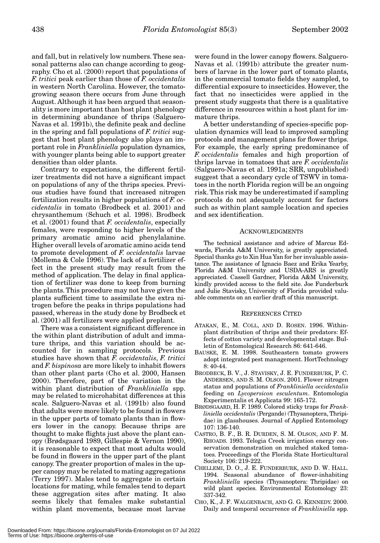and fall, but in relatively low numbers. These seasonal patterns also can change according to geography. Cho et al. (2000) report that populations of *F. tritici* peak earlier than those of *F. occidentalis* in western North Carolina. However, the tomatogrowing season there occurs from June through August. Although it has been argued that seasonality is more important than host plant phenology in determining abundance of thrips (Salguero-Navas et al. 1991b), the definite peak and decline in the spring and fall populations of *F. tritici* suggest that host plant phenology also plays an important role in *Frankliniella* population dynamics, with younger plants being able to support greater densities than older plants.

Contrary to expectations, the different fertilizer treatments did not have a significant impact on populations of any of the thrips species. Previous studies have found that increased nitrogen fertilization results in higher populations of *F. occidentalis* in tomato (Brodbeck et al. 2001) and chrysanthemum (Schuch et al. 1998). Brodbeck et al. (2001) found that *F. occidentalis*, especially females, were responding to higher levels of the primary aromatic amino acid phenylalanine. Higher overall levels of aromatic amino acids tend to promote development of *F. occidentalis* larvae (Mollema & Cole 1996). The lack of a fertilizer effect in the present study may result from the method of application. The delay in final application of fertilizer was done to keep from burning the plants. This procedure may not have given the plants sufficient time to assimilate the extra nitrogen before the peaks in thrips populations had passed, whereas in the study done by Brodbeck et al. (2001) all fertilizers were applied preplant.

There was a consistent significant difference in the within plant distribution of adult and immature thrips, and this variation should be accounted for in sampling protocols. Previous studies have shown that *F. occidentalis*, *F. tritici* and *F. bispinosa* are more likely to inhabit flowers than other plant parts (Cho et al. 2000, Hansen 2000). Therefore, part of the variation in the within plant distribution of *Frankliniella* spp. may be related to microhabitat differences at this scale. Salguero-Navas et al. (1991b) also found that adults were more likely to be found in flowers in the upper parts of tomato plants than in flowers lower in the canopy. Because thrips are thought to make flights just above the plant canopy (Brødsgaard 1989, Gillespie & Vernon 1990), it is reasonable to expect that most adults would be found in flowers in the upper part of the plant canopy. The greater proportion of males in the upper canopy may be related to mating aggregations (Terry 1997). Males tend to aggregate in certain locations for mating, while females tend to depart these aggregation sites after mating. It also seems likely that females make substantial within plant movements, because most larvae

were found in the lower canopy flowers. Salguero-Navas et al. (1991b) attribute the greater numbers of larvae in the lower part of tomato plants, in the commercial tomato fields they sampled, to differential exposure to insecticides. However, the fact that no insecticides were applied in the present study suggests that there is a qualitative difference in resources within a host plant for immature thrips.

A better understanding of species-specific population dynamics will lead to improved sampling protocols and management plans for flower thrips. For example, the early spring predominance of *F. occidentalis* females and high proportion of thrips larvae in tomatoes that are *F. occidentalis* (Salguero-Navas et al. 1991a; SRR, unpublished) suggest that a secondary cycle of TSWV in tomatoes in the north Florida region will be an ongoing risk. This risk may be underestimated if sampling protocols do not adequately account for factors such as within plant sample location and species and sex identification.

#### ACKNOWLEDGMENTS

The technical assistance and advice of Marcus Edwards, Florida A&M University, is greatly appreciated. Special thanks go to Xin Hua Yan for her invaluable assistance. The assistance of Ignacio Baez and Erika Yearby, Florida A&M University and USDA-ARS is greatly appreciated. Cassell Gardner, Florida A&M University, kindly provided access to the field site. Joe Funderburk and Julie Stavisky, University of Florida provided valuable comments on an earlier draft of this manuscript.

#### REFERENCES CITED

- ATAKAN, E., M. COLL, AND D. ROSEN. 1996. Withinplant distribution of thrips and their predators: Effects of cotton variety and developmental stage. Bulletin of Entomological Research 86: 641-646.
- BAUSKE, E. M. 1998. Southeastern tomato growers adopt integrated pest management. HortTechnology 8: 40-44.
- BRODBECK, B. V., J. STAVISKY, J. E. FUNDERBURK, P. C. ANDERSEN, AND S. M. OLSON. 2001. Flower nitrogen status and populations of *Frankliniella occidentalis* feeding on *Lycopersicon esculentum*. Entomologia Experimentalis et Applicata 99: 165-172.
- BRØDSGAARD, H. F. 1989. Colored sticky traps for *Frankliniella occidentalis* (Pergande) (Thysanoptera, Thripidae) in glasshouses. Journal of Applied Entomology 107: 136-140.
- CASTRO, B. F., B. R. DURDEN, S. M. OLSON, AND F. M. RHOADS. 1993. Telogia Creek irrigation energy conservation demonstration on mulched staked tomatoes. Proceedings of the Florida State Horticultural Society 106: 219-222.
- CHELLEMI, D. O., J. E. FUNDERBURK, AND D. W. HALL. 1994. Seasonal abundance of flower-inhabiting *Frankliniella* species (Thysanoptera: Thripidae) on wild plant species. Environmental Entomology 23: 337-342.
- CHO, K., J. F. WALGENBACH, AND G. G. KENNEDY. 2000. Daily and temporal occurrence of *Frankliniella* spp.